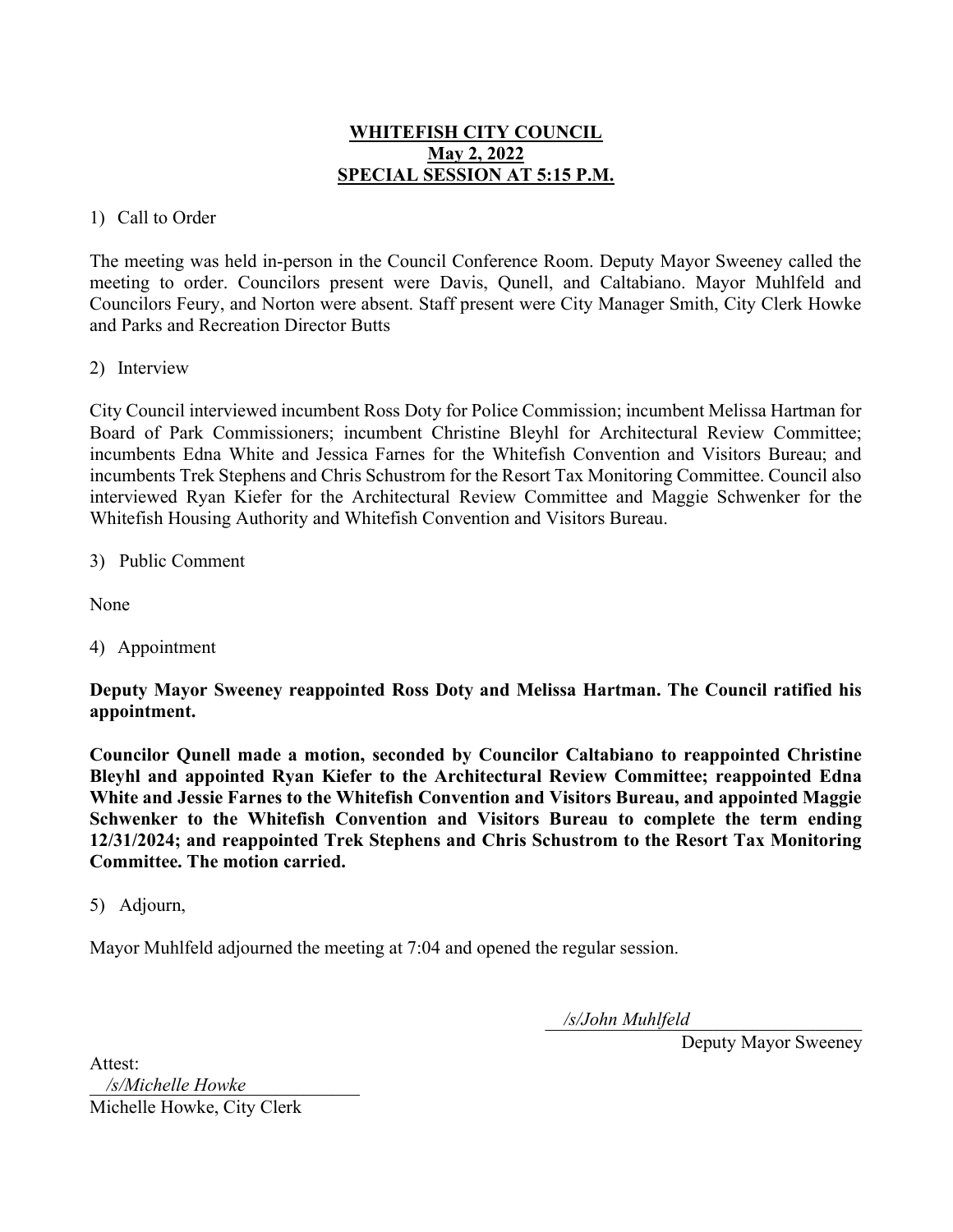# WHITEFISH CITY COUNCIL May 2, 2022 SPECIAL SESSION AT 5:15 P.M.

## 1) Call to Order

The meeting was held in-person in the Council Conference Room. Deputy Mayor Sweeney called the meeting to order. Councilors present were Davis, Qunell, and Caltabiano. Mayor Muhlfeld and Councilors Feury, and Norton were absent. Staff present were City Manager Smith, City Clerk Howke and Parks and Recreation Director Butts

## 2) Interview

City Council interviewed incumbent Ross Doty for Police Commission; incumbent Melissa Hartman for Board of Park Commissioners; incumbent Christine Bleyhl for Architectural Review Committee; incumbents Edna White and Jessica Farnes for the Whitefish Convention and Visitors Bureau; and incumbents Trek Stephens and Chris Schustrom for the Resort Tax Monitoring Committee. Council also interviewed Ryan Kiefer for the Architectural Review Committee and Maggie Schwenker for the Whitefish Housing Authority and Whitefish Convention and Visitors Bureau.

#### 3) Public Comment

None

4) Appointment

Deputy Mayor Sweeney reappointed Ross Doty and Melissa Hartman. The Council ratified his appointment.

Councilor Qunell made a motion, seconded by Councilor Caltabiano to reappointed Christine Bleyhl and appointed Ryan Kiefer to the Architectural Review Committee; reappointed Edna White and Jessie Farnes to the Whitefish Convention and Visitors Bureau, and appointed Maggie Schwenker to the Whitefish Convention and Visitors Bureau to complete the term ending 12/31/2024; and reappointed Trek Stephens and Chris Schustrom to the Resort Tax Monitoring Committee. The motion carried.

#### 5) Adjourn,

Mayor Muhlfeld adjourned the meeting at 7:04 and opened the regular session.

\_\_\_\_\_\_\_\_\_\_\_\_\_\_\_\_\_\_\_\_\_\_\_\_\_\_\_\_\_\_\_\_\_\_ */s/John Muhlfeld*

Deputy Mayor Sweeney

Attest: \_\_\_\_\_\_\_\_\_\_\_\_\_\_\_\_\_\_\_\_\_\_\_\_\_\_\_\_\_ */s/Michelle Howke*Michelle Howke, City Clerk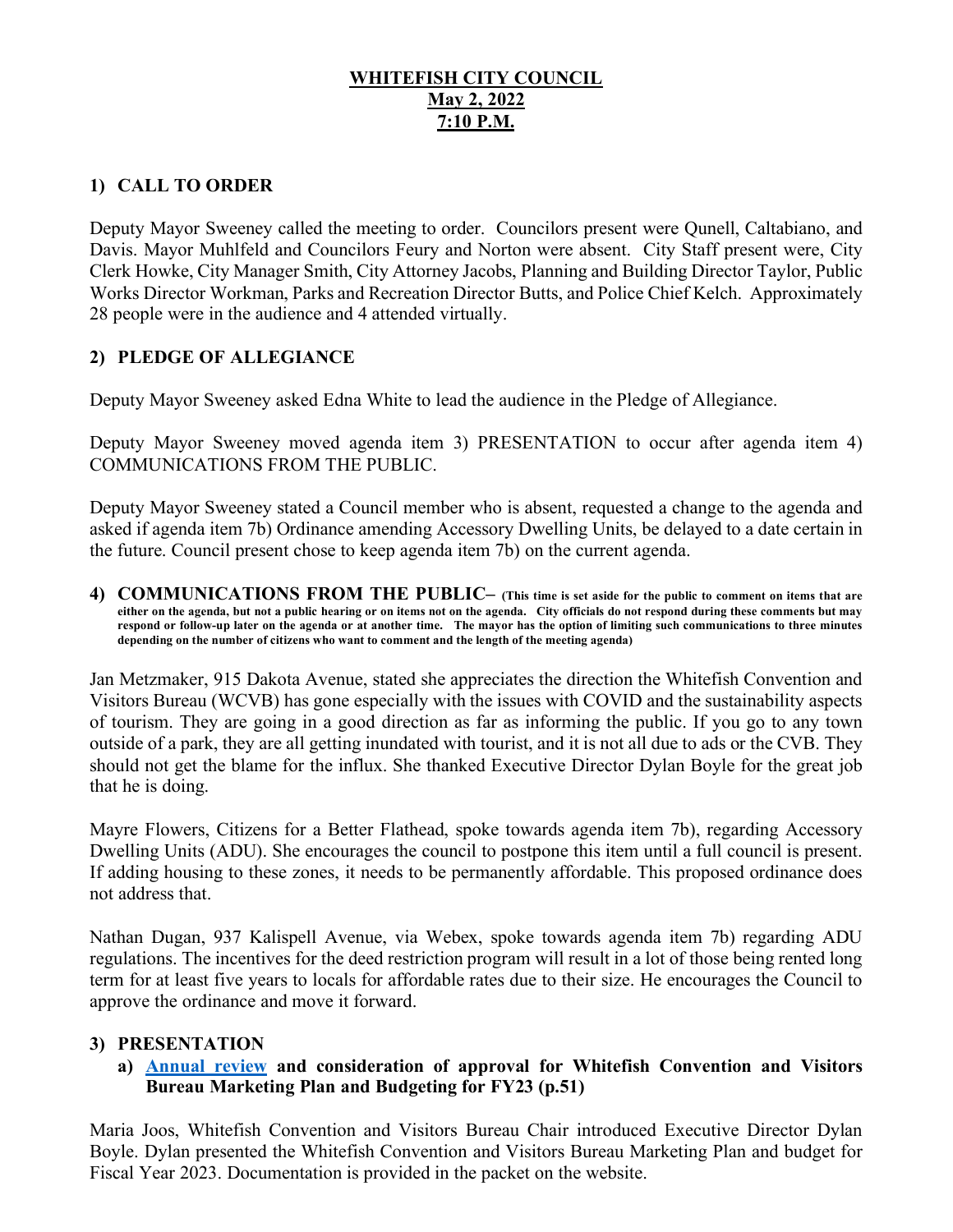# **WHITEFISH CITY COUNCIL May 2, 2022 7:10 P.M.**

# **1) CALL TO ORDER**

Deputy Mayor Sweeney called the meeting to order. Councilors present were Qunell, Caltabiano, and Davis. Mayor Muhlfeld and Councilors Feury and Norton were absent. City Staff present were, City Clerk Howke, City Manager Smith, City Attorney Jacobs, Planning and Building Director Taylor, Public Works Director Workman, Parks and Recreation Director Butts, and Police Chief Kelch. Approximately 28 people were in the audience and 4 attended virtually.

# **2) PLEDGE OF ALLEGIANCE**

Deputy Mayor Sweeney asked Edna White to lead the audience in the Pledge of Allegiance.

Deputy Mayor Sweeney moved agenda item 3) PRESENTATION to occur after agenda item 4) COMMUNICATIONS FROM THE PUBLIC.

Deputy Mayor Sweeney stated a Council member who is absent, requested a change to the agenda and asked if agenda item 7b) Ordinance amending Accessory Dwelling Units, be delayed to a date certain in the future. Council present chose to keep agenda item 7b) on the current agenda.

**4) COMMUNICATIONS FROM THE PUBLIC– (This time is set aside for the public to comment on items that are either on the agenda, but not a public hearing or on items not on the agenda. City officials do not respond during these comments but may respond or follow-up later on the agenda or at another time. The mayor has the option of limiting such communications to three minutes depending on the number of citizens who want to comment and the length of the meeting agenda)** 

Jan Metzmaker, 915 Dakota Avenue, stated she appreciates the direction the Whitefish Convention and Visitors Bureau (WCVB) has gone especially with the issues with COVID and the sustainability aspects of tourism. They are going in a good direction as far as informing the public. If you go to any town outside of a park, they are all getting inundated with tourist, and it is not all due to ads or the CVB. They should not get the blame for the influx. She thanked Executive Director Dylan Boyle for the great job that he is doing.

Mayre Flowers, Citizens for a Better Flathead, spoke towards agenda item 7b), regarding Accessory Dwelling Units (ADU). She encourages the council to postpone this item until a full council is present. If adding housing to these zones, it needs to be permanently affordable. This proposed ordinance does not address that.

Nathan Dugan, 937 Kalispell Avenue, via Webex, spoke towards agenda item 7b) regarding ADU regulations. The incentives for the deed restriction program will result in a lot of those being rented long term for at least five years to locals for affordable rates due to their size. He encourages the Council to approve the ordinance and move it forward.

## **3) PRESENTATION**

## **a) [Annual review](https://cityofwhitefishmt.sharepoint.com/:b:/g/documents/EeoThYMkAL5Mg7xt_8wRPpUB2VAtqVIwzjGVNslgr0mxmw?e=VaXgGq) and consideration of approval for Whitefish Convention and Visitors Bureau Marketing Plan and Budgeting for FY23 (p.51)**

Maria Joos, Whitefish Convention and Visitors Bureau Chair introduced Executive Director Dylan Boyle. Dylan presented the Whitefish Convention and Visitors Bureau Marketing Plan and budget for Fiscal Year 2023. Documentation is provided in the packet on the website.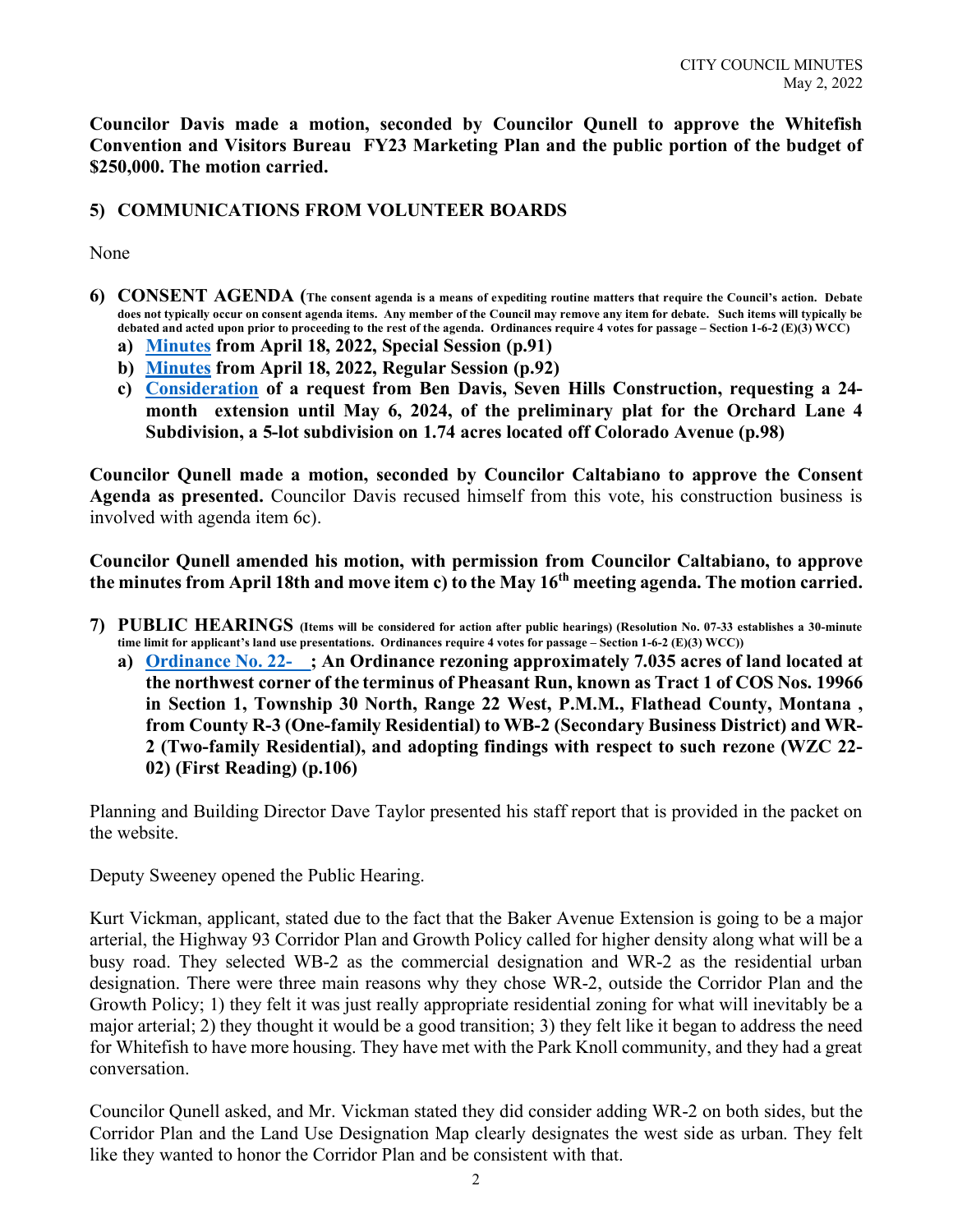**Councilor Davis made a motion, seconded by Councilor Qunell to approve the Whitefish Convention and Visitors Bureau FY23 Marketing Plan and the public portion of the budget of \$250,000. The motion carried.** 

## **5) COMMUNICATIONS FROM VOLUNTEER BOARDS**

#### None

- **6) CONSENT AGENDA (The consent agenda is a means of expediting routine matters that require the Council's action. Debate does not typically occur on consent agenda items. Any member of the Council may remove any item for debate. Such items will typically be debated and acted upon prior to proceeding to the rest of the agenda. Ordinances require 4 votes for passage – Section 1-6-2 (E)(3) WCC)**
	- **a) [Minutes](https://cityofwhitefishmt.sharepoint.com/:b:/g/documents/EW6Jd9lDj3tFp9QhNLTQhYYBcwlkkl_rol8InucV2ApcVA?e=96E3OK) from April 18, 2022, Special Session (p.91)**
	- **b) [Minutes](https://cityofwhitefishmt.sharepoint.com/:b:/g/documents/ERinjCRerQRBoBVChZiWhPgBpc2WCXFJy9mY5ik_LhGMQQ?e=1TUDHO) from April 18, 2022, Regular Session (p.92)**
	- **c) [Consideration](https://cityofwhitefishmt.sharepoint.com/:b:/g/documents/Ebz7QBmFTsVFr4n1gRK44UYBRvh4VApIYwfAyjg4gnqJNQ?e=pxCDYx) of a request from Ben Davis, Seven Hills Construction, requesting a 24 month extension until May 6, 2024, of the preliminary plat for the Orchard Lane 4 Subdivision, a 5-lot subdivision on 1.74 acres located off Colorado Avenue (p.98)**

**Councilor Qunell made a motion, seconded by Councilor Caltabiano to approve the Consent Agenda as presented.** Councilor Davis recused himself from this vote, his construction business is involved with agenda item 6c).

**Councilor Qunell amended his motion, with permission from Councilor Caltabiano, to approve the minutes from April 18th and move item c) to the May 16th meeting agenda. The motion carried.** 

- **7) PUBLIC HEARINGS (Items will be considered for action after public hearings) (Resolution No. 07-33 establishes a 30-minute time limit for applicant's land use presentations. Ordinances require 4 votes for passage – Section 1-6-2 (E)(3) WCC))**
	- **a) [Ordinance No. 22-\\_\\_;](https://cityofwhitefishmt.sharepoint.com/:b:/g/documents/ERguqw_PeOFJle6kHA0vvicBmor21ypanCwl7u4jdK6VAA?e=Ubd9Rh) An Ordinance rezoning approximately 7.035 acres of land located at the northwest corner of the terminus of Pheasant Run, known as Tract 1 of COS Nos. 19966 in Section 1, Township 30 North, Range 22 West, P.M.M., Flathead County, Montana , from County R-3 (One-family Residential) to WB-2 (Secondary Business District) and WR-2 (Two-family Residential), and adopting findings with respect to such rezone (WZC 22- 02) (First Reading) (p.106)**

Planning and Building Director Dave Taylor presented his staff report that is provided in the packet on the website.

Deputy Sweeney opened the Public Hearing.

Kurt Vickman, applicant, stated due to the fact that the Baker Avenue Extension is going to be a major arterial, the Highway 93 Corridor Plan and Growth Policy called for higher density along what will be a busy road. They selected WB-2 as the commercial designation and WR-2 as the residential urban designation. There were three main reasons why they chose WR-2, outside the Corridor Plan and the Growth Policy; 1) they felt it was just really appropriate residential zoning for what will inevitably be a major arterial; 2) they thought it would be a good transition; 3) they felt like it began to address the need for Whitefish to have more housing. They have met with the Park Knoll community, and they had a great conversation.

Councilor Qunell asked, and Mr. Vickman stated they did consider adding WR-2 on both sides, but the Corridor Plan and the Land Use Designation Map clearly designates the west side as urban. They felt like they wanted to honor the Corridor Plan and be consistent with that.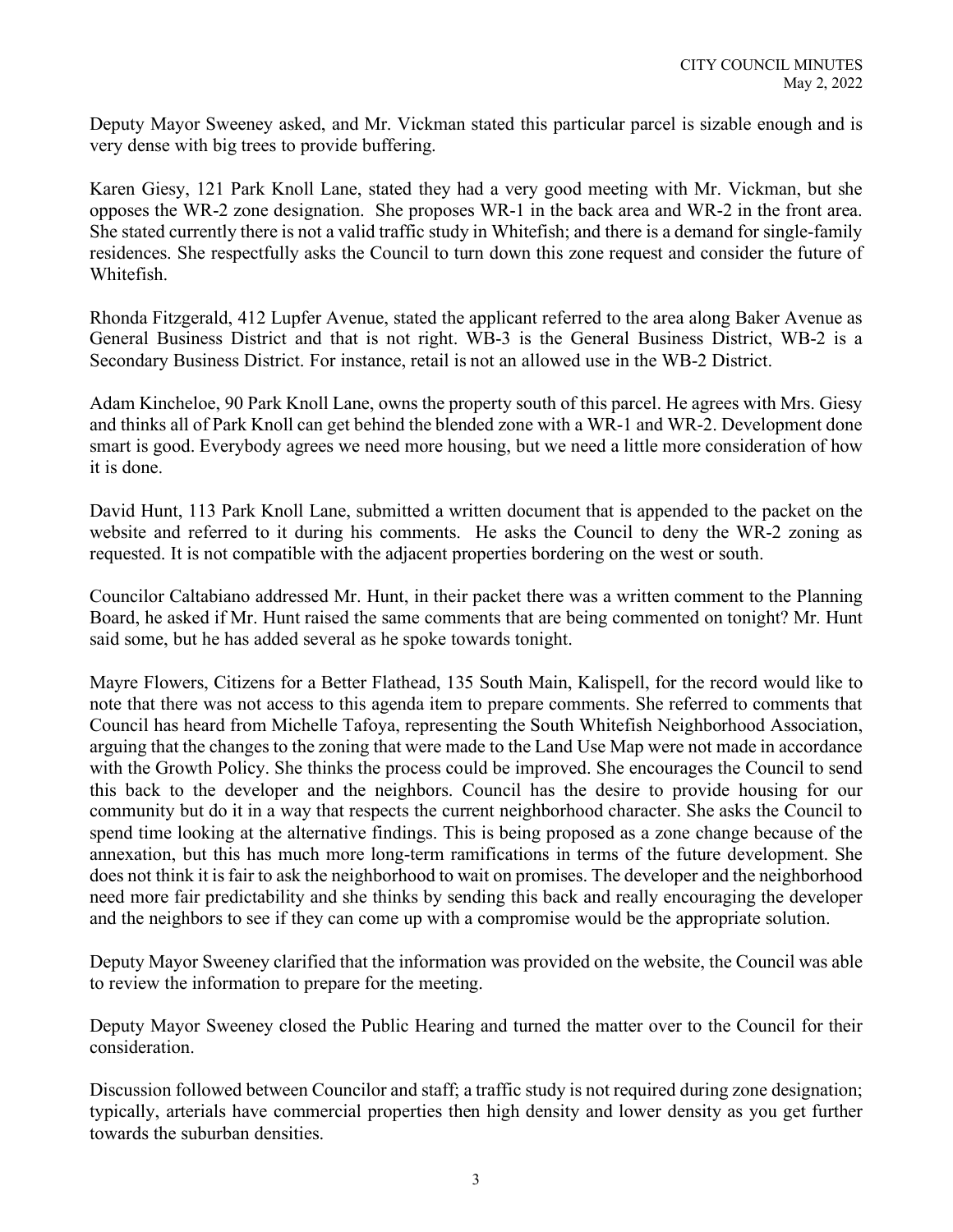Deputy Mayor Sweeney asked, and Mr. Vickman stated this particular parcel is sizable enough and is very dense with big trees to provide buffering.

Karen Giesy, 121 Park Knoll Lane, stated they had a very good meeting with Mr. Vickman, but she opposes the WR-2 zone designation. She proposes WR-1 in the back area and WR-2 in the front area. She stated currently there is not a valid traffic study in Whitefish; and there is a demand for single-family residences. She respectfully asks the Council to turn down this zone request and consider the future of Whitefish.

Rhonda Fitzgerald, 412 Lupfer Avenue, stated the applicant referred to the area along Baker Avenue as General Business District and that is not right. WB-3 is the General Business District, WB-2 is a Secondary Business District. For instance, retail is not an allowed use in the WB-2 District.

Adam Kincheloe, 90 Park Knoll Lane, owns the property south of this parcel. He agrees with Mrs. Giesy and thinks all of Park Knoll can get behind the blended zone with a WR-1 and WR-2. Development done smart is good. Everybody agrees we need more housing, but we need a little more consideration of how it is done.

David Hunt, 113 Park Knoll Lane, submitted a written document that is appended to the packet on the website and referred to it during his comments. He asks the Council to deny the WR-2 zoning as requested. It is not compatible with the adjacent properties bordering on the west or south.

Councilor Caltabiano addressed Mr. Hunt, in their packet there was a written comment to the Planning Board, he asked if Mr. Hunt raised the same comments that are being commented on tonight? Mr. Hunt said some, but he has added several as he spoke towards tonight.

Mayre Flowers, Citizens for a Better Flathead, 135 South Main, Kalispell, for the record would like to note that there was not access to this agenda item to prepare comments. She referred to comments that Council has heard from Michelle Tafoya, representing the South Whitefish Neighborhood Association, arguing that the changes to the zoning that were made to the Land Use Map were not made in accordance with the Growth Policy. She thinks the process could be improved. She encourages the Council to send this back to the developer and the neighbors. Council has the desire to provide housing for our community but do it in a way that respects the current neighborhood character. She asks the Council to spend time looking at the alternative findings. This is being proposed as a zone change because of the annexation, but this has much more long-term ramifications in terms of the future development. She does not think it is fair to ask the neighborhood to wait on promises. The developer and the neighborhood need more fair predictability and she thinks by sending this back and really encouraging the developer and the neighbors to see if they can come up with a compromise would be the appropriate solution.

Deputy Mayor Sweeney clarified that the information was provided on the website, the Council was able to review the information to prepare for the meeting.

Deputy Mayor Sweeney closed the Public Hearing and turned the matter over to the Council for their consideration.

Discussion followed between Councilor and staff; a traffic study is not required during zone designation; typically, arterials have commercial properties then high density and lower density as you get further towards the suburban densities.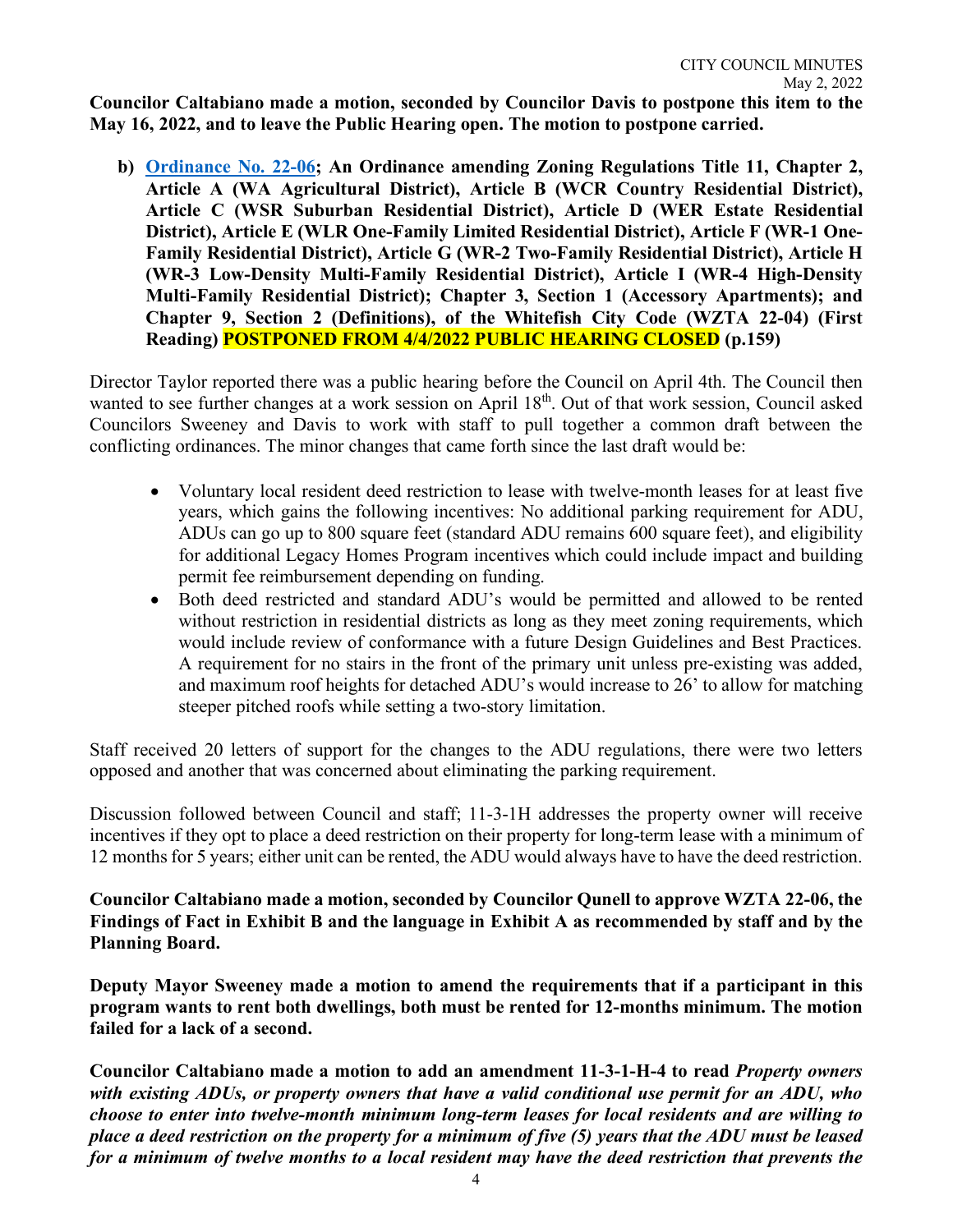**Councilor Caltabiano made a motion, seconded by Councilor Davis to postpone this item to the May 16, 2022, and to leave the Public Hearing open. The motion to postpone carried.** 

**b) [Ordinance No. 22-06](https://cityofwhitefishmt.sharepoint.com/:b:/g/documents/Ea7xlRyQr9VEvZbZtmmFaeQBciVeN_MQ6URNcThP9N0tMw?e=5XgiSN); An Ordinance amending Zoning Regulations Title 11, Chapter 2, Article A (WA Agricultural District), Article B (WCR Country Residential District), Article C (WSR Suburban Residential District), Article D (WER Estate Residential District), Article E (WLR One-Family Limited Residential District), Article F (WR-1 One-Family Residential District), Article G (WR-2 Two-Family Residential District), Article H (WR-3 Low-Density Multi-Family Residential District), Article I (WR-4 High-Density Multi-Family Residential District); Chapter 3, Section 1 (Accessory Apartments); and Chapter 9, Section 2 (Definitions), of the Whitefish City Code (WZTA 22-04) (First Reading) POSTPONED FROM 4/4/2022 PUBLIC HEARING CLOSED (p.159)**

Director Taylor reported there was a public hearing before the Council on April 4th. The Council then wanted to see further changes at a work session on April 18<sup>th</sup>. Out of that work session, Council asked Councilors Sweeney and Davis to work with staff to pull together a common draft between the conflicting ordinances. The minor changes that came forth since the last draft would be:

- Voluntary local resident deed restriction to lease with twelve-month leases for at least five years, which gains the following incentives: No additional parking requirement for ADU, ADUs can go up to 800 square feet (standard ADU remains 600 square feet), and eligibility for additional Legacy Homes Program incentives which could include impact and building permit fee reimbursement depending on funding.
- Both deed restricted and standard ADU's would be permitted and allowed to be rented without restriction in residential districts as long as they meet zoning requirements, which would include review of conformance with a future Design Guidelines and Best Practices. A requirement for no stairs in the front of the primary unit unless pre-existing was added, and maximum roof heights for detached ADU's would increase to 26' to allow for matching steeper pitched roofs while setting a two-story limitation.

Staff received 20 letters of support for the changes to the ADU regulations, there were two letters opposed and another that was concerned about eliminating the parking requirement.

Discussion followed between Council and staff; 11-3-1H addresses the property owner will receive incentives if they opt to place a deed restriction on their property for long-term lease with a minimum of 12 months for 5 years; either unit can be rented, the ADU would always have to have the deed restriction.

**Councilor Caltabiano made a motion, seconded by Councilor Qunell to approve WZTA 22-06, the Findings of Fact in Exhibit B and the language in Exhibit A as recommended by staff and by the Planning Board.** 

**Deputy Mayor Sweeney made a motion to amend the requirements that if a participant in this program wants to rent both dwellings, both must be rented for 12-months minimum. The motion failed for a lack of a second.** 

**Councilor Caltabiano made a motion to add an amendment 11-3-1-H-4 to read** *Property owners with existing ADUs, or property owners that have a valid conditional use permit for an ADU, who choose to enter into twelve-month minimum long-term leases for local residents and are willing to place a deed restriction on the property for a minimum of five (5) years that the ADU must be leased for a minimum of twelve months to a local resident may have the deed restriction that prevents the*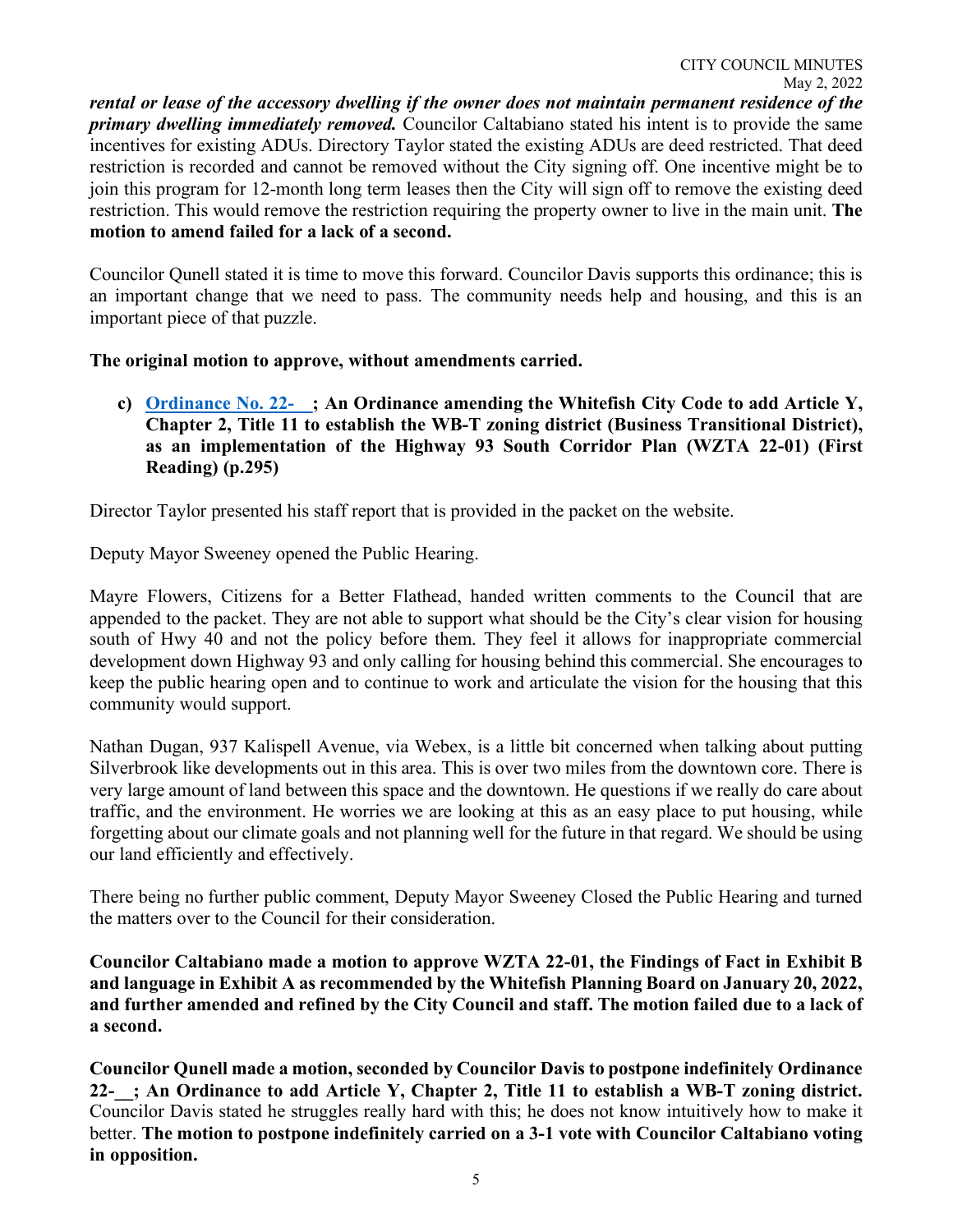*rental or lease of the accessory dwelling if the owner does not maintain permanent residence of the primary dwelling immediately removed.* Councilor Caltabiano stated his intent is to provide the same incentives for existing ADUs. Directory Taylor stated the existing ADUs are deed restricted. That deed restriction is recorded and cannot be removed without the City signing off. One incentive might be to join this program for 12-month long term leases then the City will sign off to remove the existing deed restriction. This would remove the restriction requiring the property owner to live in the main unit. **The motion to amend failed for a lack of a second.** 

Councilor Qunell stated it is time to move this forward. Councilor Davis supports this ordinance; this is an important change that we need to pass. The community needs help and housing, and this is an important piece of that puzzle.

## **The original motion to approve, without amendments carried.**

**c) [Ordinance No. 22-\\_\\_;](https://cityofwhitefishmt.sharepoint.com/:b:/g/documents/ETmbzhtLsctKqEOFbG8T7UcBih0y0F-bVVRgubZ-si4Zig?e=ETTau9) An Ordinance amending the Whitefish City Code to add Article Y, Chapter 2, Title 11 to establish the WB-T zoning district (Business Transitional District), as an implementation of the Highway 93 South Corridor Plan (WZTA 22-01) (First Reading) (p.295)**

Director Taylor presented his staff report that is provided in the packet on the website.

Deputy Mayor Sweeney opened the Public Hearing.

Mayre Flowers, Citizens for a Better Flathead, handed written comments to the Council that are appended to the packet. They are not able to support what should be the City's clear vision for housing south of Hwy 40 and not the policy before them. They feel it allows for inappropriate commercial development down Highway 93 and only calling for housing behind this commercial. She encourages to keep the public hearing open and to continue to work and articulate the vision for the housing that this community would support.

Nathan Dugan, 937 Kalispell Avenue, via Webex, is a little bit concerned when talking about putting Silverbrook like developments out in this area. This is over two miles from the downtown core. There is very large amount of land between this space and the downtown. He questions if we really do care about traffic, and the environment. He worries we are looking at this as an easy place to put housing, while forgetting about our climate goals and not planning well for the future in that regard. We should be using our land efficiently and effectively.

There being no further public comment, Deputy Mayor Sweeney Closed the Public Hearing and turned the matters over to the Council for their consideration.

**Councilor Caltabiano made a motion to approve WZTA 22-01, the Findings of Fact in Exhibit B and language in Exhibit A as recommended by the Whitefish Planning Board on January 20, 2022, and further amended and refined by the City Council and staff. The motion failed due to a lack of a second.** 

**Councilor Qunell made a motion, seconded by Councilor Davis to postpone indefinitely Ordinance 22-\_\_; An Ordinance to add Article Y, Chapter 2, Title 11 to establish a WB-T zoning district.**  Councilor Davis stated he struggles really hard with this; he does not know intuitively how to make it better. **The motion to postpone indefinitely carried on a 3-1 vote with Councilor Caltabiano voting in opposition.**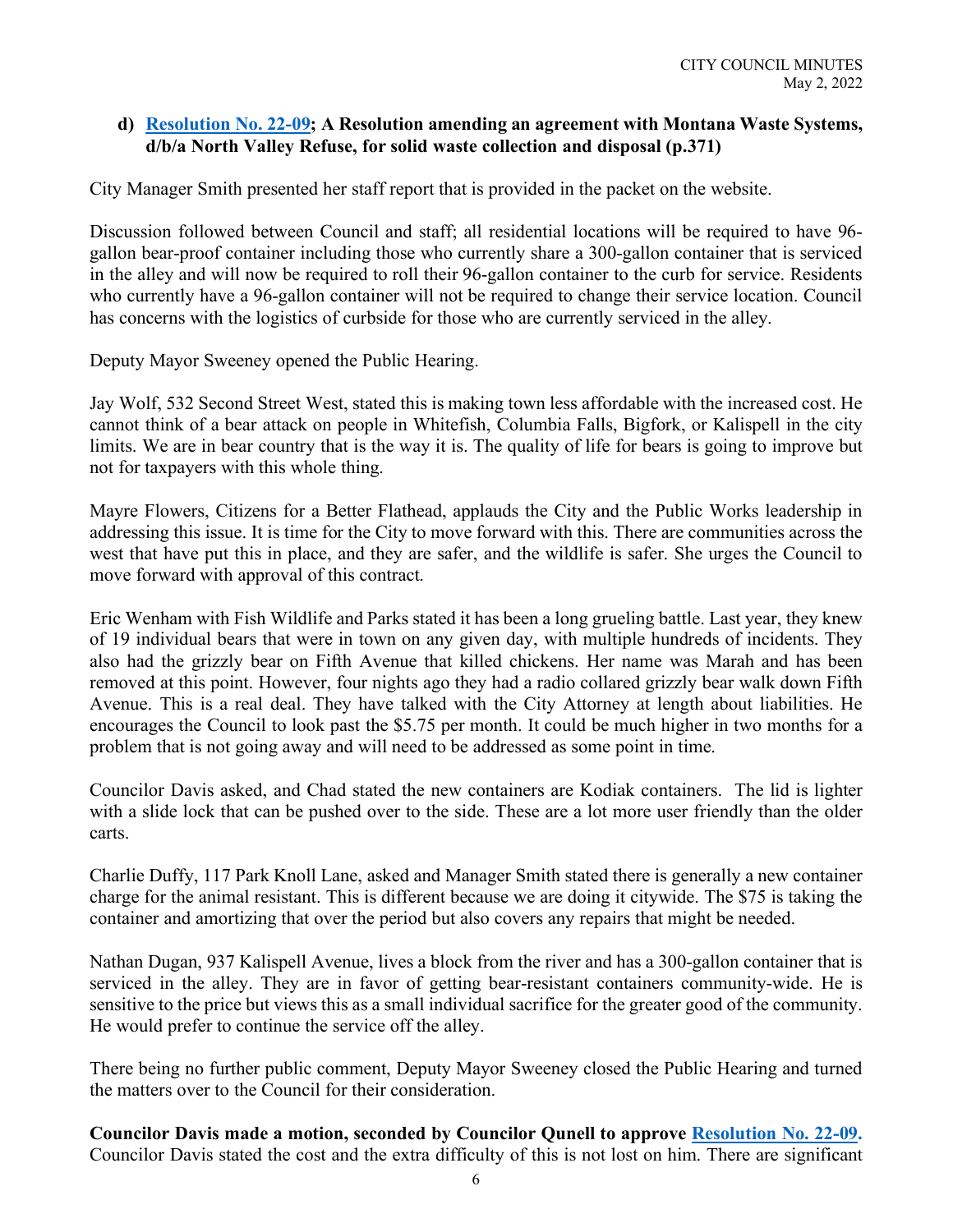## **d) [Resolution No. 22-0](https://cityofwhitefishmt.sharepoint.com/:b:/g/documents/EVCS6sejJFtNkyyrm_vlFDYBqsKXjhpKp7gwc3L6ygO6ag?e=u5wZ3k)9; A Resolution amending an agreement with Montana Waste Systems, d/b/a North Valley Refuse, for solid waste collection and disposal (p.371)**

City Manager Smith presented her staff report that is provided in the packet on the website.

Discussion followed between Council and staff; all residential locations will be required to have 96 gallon bear-proof container including those who currently share a 300-gallon container that is serviced in the alley and will now be required to roll their 96-gallon container to the curb for service. Residents who currently have a 96-gallon container will not be required to change their service location. Council has concerns with the logistics of curbside for those who are currently serviced in the alley.

Deputy Mayor Sweeney opened the Public Hearing.

Jay Wolf, 532 Second Street West, stated this is making town less affordable with the increased cost. He cannot think of a bear attack on people in Whitefish, Columbia Falls, Bigfork, or Kalispell in the city limits. We are in bear country that is the way it is. The quality of life for bears is going to improve but not for taxpayers with this whole thing.

Mayre Flowers, Citizens for a Better Flathead, applauds the City and the Public Works leadership in addressing this issue. It is time for the City to move forward with this. There are communities across the west that have put this in place, and they are safer, and the wildlife is safer. She urges the Council to move forward with approval of this contract.

Eric Wenham with Fish Wildlife and Parks stated it has been a long grueling battle. Last year, they knew of 19 individual bears that were in town on any given day, with multiple hundreds of incidents. They also had the grizzly bear on Fifth Avenue that killed chickens. Her name was Marah and has been removed at this point. However, four nights ago they had a radio collared grizzly bear walk down Fifth Avenue. This is a real deal. They have talked with the City Attorney at length about liabilities. He encourages the Council to look past the \$5.75 per month. It could be much higher in two months for a problem that is not going away and will need to be addressed as some point in time.

Councilor Davis asked, and Chad stated the new containers are Kodiak containers. The lid is lighter with a slide lock that can be pushed over to the side. These are a lot more user friendly than the older carts.

Charlie Duffy, 117 Park Knoll Lane, asked and Manager Smith stated there is generally a new container charge for the animal resistant. This is different because we are doing it citywide. The \$75 is taking the container and amortizing that over the period but also covers any repairs that might be needed.

Nathan Dugan, 937 Kalispell Avenue, lives a block from the river and has a 300-gallon container that is serviced in the alley. They are in favor of getting bear-resistant containers community-wide. He is sensitive to the price but views this as a small individual sacrifice for the greater good of the community. He would prefer to continue the service off the alley.

There being no further public comment, Deputy Mayor Sweeney closed the Public Hearing and turned the matters over to the Council for their consideration.

**Councilor Davis made a motion, seconded by Councilor Qunell to approve [Resolution No. 22-0](https://cityofwhitefishmt.sharepoint.com/:b:/g/documents/EVCS6sejJFtNkyyrm_vlFDYBqsKXjhpKp7gwc3L6ygO6ag?e=u5wZ3k)9.** Councilor Davis stated the cost and the extra difficulty of this is not lost on him. There are significant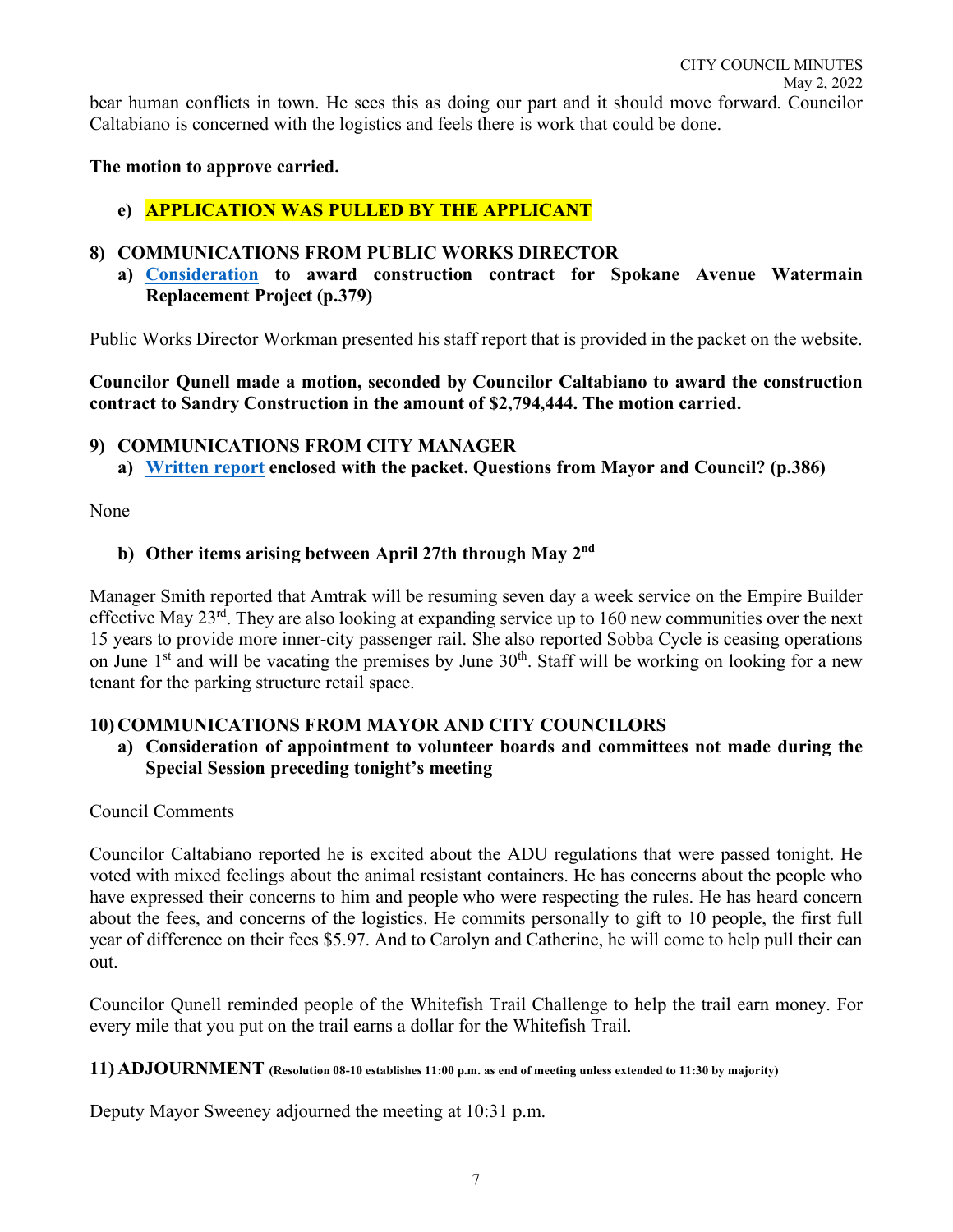# **The motion to approve carried.**

# **e) APPLICATION WAS PULLED BY THE APPLICANT**

# **8) COMMUNICATIONS FROM PUBLIC WORKS DIRECTOR**

**a) [Consideration](https://cityofwhitefishmt.sharepoint.com/:b:/g/documents/EQAZzztLfLtDniVPl1L2-xsBlG_jeBXYnT8fQwJwfiPLhw?e=dzGUwF) to award construction contract for Spokane Avenue Watermain Replacement Project (p.379)**

Public Works Director Workman presented his staff report that is provided in the packet on the website.

**Councilor Qunell made a motion, seconded by Councilor Caltabiano to award the construction contract to Sandry Construction in the amount of \$2,794,444. The motion carried.**

## **9) COMMUNICATIONS FROM CITY MANAGER**

**a) [Written report](https://cityofwhitefishmt.sharepoint.com/:b:/g/documents/Ecja2Ezg0ttBkkz4Ypr_0gkBzYXA_3-eNRG1alBixXJc3w?e=Izf3j8) enclosed with the packet. Questions from Mayor and Council? (p.386)**

None

# **b) Other items arising between April 27th through May 2nd**

Manager Smith reported that Amtrak will be resuming seven day a week service on the Empire Builder effective May 23rd. They are also looking at expanding service up to 160 new communities over the next 15 years to provide more inner-city passenger rail. She also reported Sobba Cycle is ceasing operations on June  $1<sup>st</sup>$  and will be vacating the premises by June  $30<sup>th</sup>$ . Staff will be working on looking for a new tenant for the parking structure retail space.

## **10) COMMUNICATIONS FROM MAYOR AND CITY COUNCILORS**

**a) Consideration of appointment to volunteer boards and committees not made during the Special Session preceding tonight's meeting**

Council Comments

Councilor Caltabiano reported he is excited about the ADU regulations that were passed tonight. He voted with mixed feelings about the animal resistant containers. He has concerns about the people who have expressed their concerns to him and people who were respecting the rules. He has heard concern about the fees, and concerns of the logistics. He commits personally to gift to 10 people, the first full year of difference on their fees \$5.97. And to Carolyn and Catherine, he will come to help pull their can out.

Councilor Qunell reminded people of the Whitefish Trail Challenge to help the trail earn money. For every mile that you put on the trail earns a dollar for the Whitefish Trail.

#### **11) ADJOURNMENT (Resolution 08-10 establishes 11:00 p.m. as end of meeting unless extended to 11:30 by majority)**

Deputy Mayor Sweeney adjourned the meeting at 10:31 p.m.